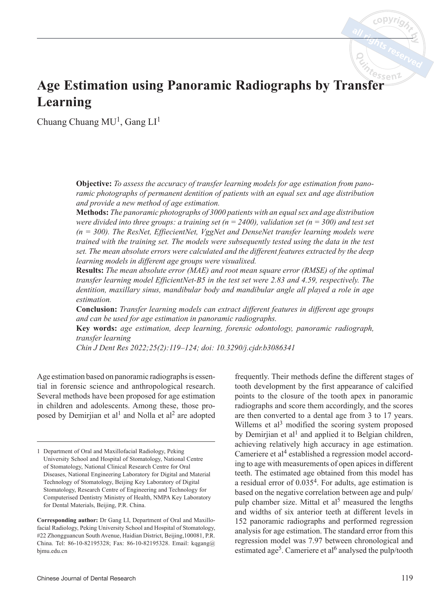# **Age Estimation using Panoramic Radiographs by Transfer Learning**

Chuang Chuang  $MU<sup>1</sup>$ , Gang  $LI<sup>1</sup>$ 

**Objective:** *To assess the accuracy of transfer learning models for age estimation from panoramic photographs of permanent dentition of patients with an equal sex and age distribution and provide a new method of age estimation.*

**Methods:** *The panoramic photographs of 3000 patients with an equal sex and age distribution were divided into three groups: a training set (n = 2400), validation set (n = 300) and test set (n = 300). The ResNet, EffiecientNet, VggNet and DenseNet transfer learning models were trained with the training set. The models were subsequently tested using the data in the test set. The mean absolute errors were calculated and the different features extracted by the deep learning models in different age groups were visualixed.*

**Results:** *The mean absolute error (MAE) and root mean square error (RMSE) of the optimal transfer learning model EfficientNet-B5 in the test set were 2.83 and 4.59, respectively. The dentition, maxillary sinus, mandibular body and mandibular angle all played a role in age estimation.*

**Conclusion:** *Transfer learning models can extract different features in different age groups and can be used for age estimation in panoramic radiographs.*

**Key words:** *age estimation, deep learning, forensic odontology, panoramic radiograph, transfer learning*

*Chin J Dent Res 2022;25(2):119–124; doi: 10.3290/j.cjdr.b3086341*

Age estimation based on panoramic radiographs is essential in forensic science and anthropological research. Several methods have been proposed for age estimation in children and adolescents. Among these, those proposed by Demirjian et al<sup>1</sup> and Nolla et al<sup>2</sup> are adopted

frequently. Their methods define the different stages of tooth development by the first appearance of calcified points to the closure of the tooth apex in panoramic radiographs and score them accordingly, and the scores are then converted to a dental age from 3 to 17 years. Willems et al<sup>3</sup> modified the scoring system proposed by Demirjian et al<sup>1</sup> and applied it to Belgian children, achieving relatively high accuracy in age estimation. Cameriere et al<sup>4</sup> established a regression model according to age with measurements of open apices in different teeth. The estimated age obtained from this model has a residual error of 0.0354. For adults, age estimation is based on the negative correlation between age and pulp/ pulp chamber size. Mittal et  $a<sup>5</sup>$  measured the lengths and widths of six anterior teeth at different levels in 152 panoramic radiographs and performed regression analysis for age estimation. The standard error from this regression model was 7.97 between chronological and estimated age<sup>5</sup>. Cameriere et al<sup>6</sup> analysed the pulp/tooth

<sup>1</sup> Department of Oral and Maxillofacial Radiology, Peking University School and Hospital of Stomatology, National Centre of Stomatology, National Clinical Research Centre for Oral Diseases, National Engineering Laboratory for Digital and Material Technology of Stomatology, Beijing Key Laboratory of Digital Stomatology, Research Centre of Engineering and Technology for Computerised Dentistry Ministry of Health, NMPA Key Laboratory for Dental Materials, Beijing, P.R. China.

**Corresponding author:** Dr Gang LI, Department of Oral and Maxillofacial Radiology, Peking University School and Hospital of Stomatology, #22 Zhongguancun South Avenue, Haidian District, Beijing,100081, P.R. China. Tel: 86-10-82195328; Fax: 86-10-82195328. Email: kqgang@ bjmu.edu.cn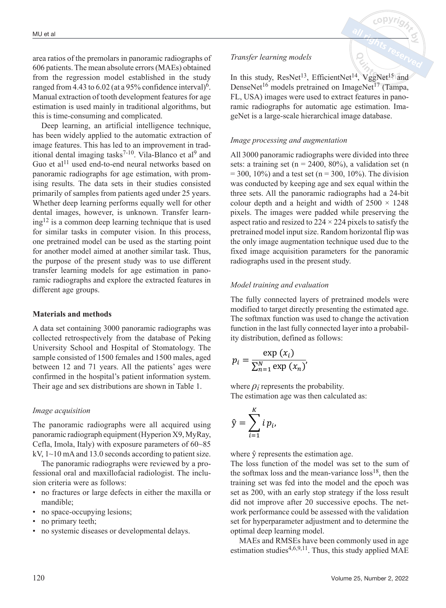area ratios of the premolars in panoramic radiographs of 606 patients. The mean absolute errors (MAEs) obtained from the regression model established in the study ranged from 4.43 to 6.02 (at a 95% confidence interval)<sup>6</sup>. Manual extraction of tooth development features for age estimation is used mainly in traditional algorithms, but this is time-consuming and complicated.

Deep learning, an artificial intelligence technique, has been widely applied to the automatic extraction of image features. This has led to an improvement in traditional dental imaging tasks<sup>7-10</sup>. Vila-Blanco et al<sup>9</sup> and Guo et al<sup>11</sup> used end-to-end neural networks based on panoramic radiographs for age estimation, with promising results. The data sets in their studies consisted primarily of samples from patients aged under 25 years. Whether deep learning performs equally well for other dental images, however, is unknown. Transfer learning12 is a common deep learning technique that is used for similar tasks in computer vision. In this process, one pretrained model can be used as the starting point for another model aimed at another similar task. Thus, the purpose of the present study was to use different transfer learning models for age estimation in panoramic radiographs and explore the extracted features in different age groups.

## **Materials and methods**

A data set containing 3000 panoramic radiographs was collected retrospectively from the database of Peking University School and Hospital of Stomatology. The sample consisted of 1500 females and 1500 males, aged between 12 and 71 years. All the patients' ages were confirmed in the hospital's patient information system. Their age and sex distributions are shown in Table 1.

## *Image acquisition*

The panoramic radiographs were all acquired using panoramic radiograph equipment (Hyperion X9, MyRay, Cefla, Imola, Italy) with exposure parameters of 60~85 kV,  $1 \sim 10$  mA and 13.0 seconds according to patient size.

The panoramic radiographs were reviewed by a professional oral and maxillofacial radiologist. The inclusion criteria were as follows:

- no fractures or large defects in either the maxilla or mandible;
- no space-occupying lesions;
- no primary teeth;
- no systemic diseases or developmental delays.

## *Transfer learning models*

In this study,  $ResNet^{13}$ , EfficientNet<sup>14</sup>, VggNet<sup>15</sup> and DenseNet<sup>16</sup> models pretrained on ImageNet<sup>17</sup> (Tampa, FL, USA) images were used to extract features in panoramic radiographs for automatic age estimation. ImageNet is a large-scale hierarchical image database.

## *Image processing and augmentation*

All 3000 panoramic radiographs were divided into three sets: a training set ( $n = 2400, 80\%$ ), a validation set (n  $= 300, 10\%$ ) and a test set (n = 300, 10%). The division was conducted by keeping age and sex equal within the three sets. All the panoramic radiographs had a 24-bit colour depth and a height and width of  $2500 \times 1248$ pixels. The images were padded while preserving the aspect ratio and resized to  $224 \times 224$  pixels to satisfy the pretrained model input size. Random horizontal flip was the only image augmentation technique used due to the fixed image acquisition parameters for the panoramic radiographs used in the present study.

## *Model training and evaluation*

The fully connected layers of pretrained models were The funy connected layers of pretrained moders were<br>modified to target directly presenting the estimated age. The softmax function was used to change the activation function in the last fully connected layer into a probability distribution, defined as follows:

$$
p_i = \frac{\exp(x_i)}{\sum_{n=1}^{N} \exp(x_n)}
$$

where  $\rho_i$  represents the probability. The estimation age was then calculated as:

$$
\hat{\mathbf{y}} = \sum_{i=1}^K i \, p_i,
$$

where  $\hat{v}$  represents the estimation age.

The loss function of the model was set to the sum of the softmax loss and the mean-variance  $\cos^{18}$ , then the training set was fed into the model and the epoch was training set was red into the model and the epoch was<br>set as 200, with an early stop strategy if the loss result<br>did not improve after 20 successive epochs. The netset as 200, with an early stop strategy if the loss result<br>did not improve after 20 successive epochs. The netand not improve and 25 successive opeens. The net set for hyperparameter adjustment and to determine the optimal deep learning model.

MAEs and RMSEs have been commonly used in age estimation studies<sup>4,6,9,11</sup>. Thus, this study applied MAE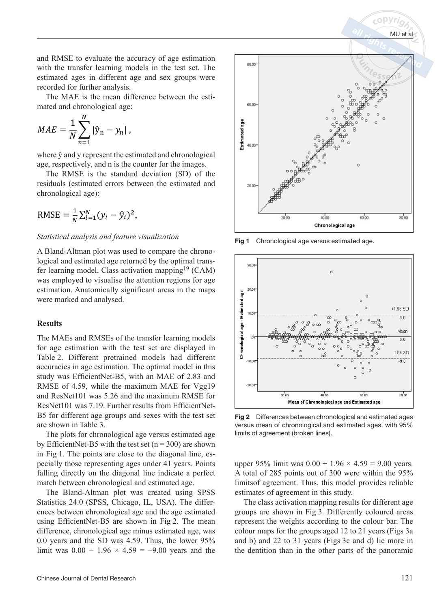and RMSE to evaluate the accuracy of age estimation with the transfer learning models in the test set. The estimated ages in different age and sex groups were recorded for further analysis.

The MAE is the mean difference between the estimated and chronological age:

$$
MAE = \frac{1}{N} \sum_{n=1}^{N} |\hat{y}_n - y_n|,
$$

where  $\hat{y}$  and y represent the estimated and chronological where y and y represent the estimated and chronologicage, respectively, and n is the counter for the images.

The RMSE is the standard deviation (SD) of the residuals (estimated errors between the estimated and residuais (estimated errors be<br>chronological age):

$$
RMSE = \frac{1}{N} \sum_{i=1}^{N} (y_i - \hat{y}_i)^2,
$$

#### *Statistical analysis and feature visualization*

A Bland-Altman plot was used to compare the chronological and estimated age returned by the optimal transfer learning model. Class activation mapping<sup>19</sup> (CAM) was employed to visualise the attention regions for age estimation. Anatomically significant areas in the maps were marked and analysed.

### **Results**

The MAEs and RMSEs of the transfer learning models for age estimation with the test set are displayed in Table 2. Different pretrained models had different accuracies in age estimation. The optimal model in this study was EfficientNet-B5, with an MAE of 2.83 and RMSE of 4.59, while the maximum MAE for Vgg19 and ResNet101 was 5.26 and the maximum RMSE for ResNet101 was 7.19. Further results from EfficientNet-B5 for different age groups and sexes with the test set are shown in Table 3.

The plots for chronological age versus estimated age by EfficientNet-B5 with the test set  $(n = 300)$  are shown in Fig 1. The points are close to the diagonal line, especially those representing ages under 41 years. Points falling directly on the diagonal line indicate a perfect match between chronological and estimated age.

The Bland-Altman plot was created using SPSS Statistics 24.0 (SPSS, Chicago, IL, USA). The differences between chronological age and the age estimated using EfficientNet-B5 are shown in Fig 2. The mean difference, chronological age minus estimated age, was 0.0 years and the SD was 4.59. Thus, the lower 95% limit was  $0.00 - 1.96 \times 4.59 = -9.00$  years and the



Fig 1 Chronological age versus estimated age.



Fig 2 Differences between chronological and estimated ages versus mean of chronological and estimated ages, with 95% limits of agreement (broken lines).

upper 95% limit was  $0.00 + 1.96 \times 4.59 = 9.00$  years. A total of 285 points out of 300 were within the 95% limitsof agreement. Thus, this model provides reliable estimates of agreement in this study.

The class activation mapping results for different age groups are shown in Fig 3. Differently coloured areas represent the weights according to the colour bar. The colour maps for the groups aged 12 to 21 years (Figs 3a and b) and 22 to 31 years (Figs 3c and d) lie more in the dentition than in the other parts of the panoramic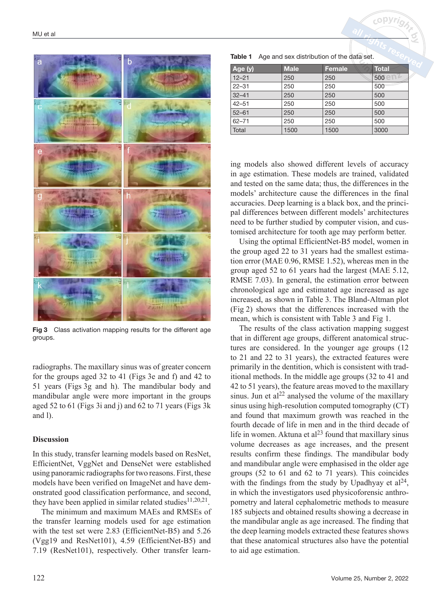

Fig 3 Class activation mapping results for the different age groups.

radiographs. The maxillary sinus was of greater concern for the groups aged 32 to 41 (Figs 3e and f) and 42 to 51 years (Figs 3g and h). The mandibular body and mandibular angle were more important in the groups aged 52 to 61 (Figs 3i and j) and 62 to 71 years (Figs 3k and l).

#### **Discussion**

In this study, transfer learning models based on ResNet, EfficientNet, VggNet and DenseNet were established using panoramic radiographs for two reasons. First, these models have been verified on ImageNet and have demonstrated good classification performance, and second, they have been applied in similar related studies<sup>11,20,21</sup>.

The minimum and maximum MAEs and RMSEs of the transfer learning models used for age estimation with the test set were 2.83 (EfficientNet-B5) and 5.26 (Vgg19 and ResNet101), 4.59 (EfficientNet-B5) and 7.19 (ResNet101), respectively. Other transfer learn-

| Age and sex distribution of the data set.<br>Table 1 |
|------------------------------------------------------|
|------------------------------------------------------|

| Age (y)   | <b>Male</b> | <b>Female</b> | <b>Total</b>          |
|-----------|-------------|---------------|-----------------------|
| $12 - 21$ | 250         | 250           | $500$ en <sup>2</sup> |
| $22 - 31$ | 250         | 250           | 500                   |
| $32 - 41$ | 250         | 250           | 500                   |
| $42 - 51$ | 250         | 250           | 500                   |
| $52 - 61$ | 250         | 250           | 500                   |
| $62 - 71$ | 250         | 250           | 500                   |
| Total     | 1500        | 1500          | 3000                  |

ing models also showed different levels of accuracy in age estimation. These models are trained, validated and tested on the same data; thus, the differences in the models' architecture cause the differences in the final accuracies. Deep learning is a black box, and the principal differences between different models' architectures need to be further studied by computer vision, and customised architecture for tooth age may perform better.

Using the optimal EfficientNet-B5 model, women in the group aged 22 to 31 years had the smallest estimation error (MAE 0.96, RMSE 1.52), whereas men in the group aged 52 to 61 years had the largest (MAE 5.12, RMSE 7.03). In general, the estimation error between chronological age and estimated age increased as age increased, as shown in Table 3. The Bland-Altman plot (Fig 2) shows that the differences increased with the mean, which is consistent with Table 3 and Fig 1.

The results of the class activation mapping suggest that in different age groups, different anatomical structures are considered. In the younger age groups (12 to 21 and 22 to 31 years), the extracted features were primarily in the dentition, which is consistent with traditional methods. In the middle age groups (32 to 41 and 42 to 51 years), the feature areas moved to the maxillary sinus. Jun et al<sup>22</sup> analysed the volume of the maxillary sinus using high-resolution computed tomography (CT) and found that maximum growth was reached in the fourth decade of life in men and in the third decade of life in women. Aktuna et al<sup>23</sup> found that maxillary sinus volume decreases as age increases, and the present results confirm these findings. The mandibular body and mandibular angle were emphasised in the older age groups (52 to 61 and 62 to 71 years). This coincides with the findings from the study by Upadhyay et  $al<sup>24</sup>$ , in which the investigators used physicoforensic anthropometry and lateral cephalometric methods to measure 185 subjects and obtained results showing a decrease in the mandibular angle as age increased. The finding that the deep learning models extracted these features shows that these anatomical structures also have the potential to aid age estimation.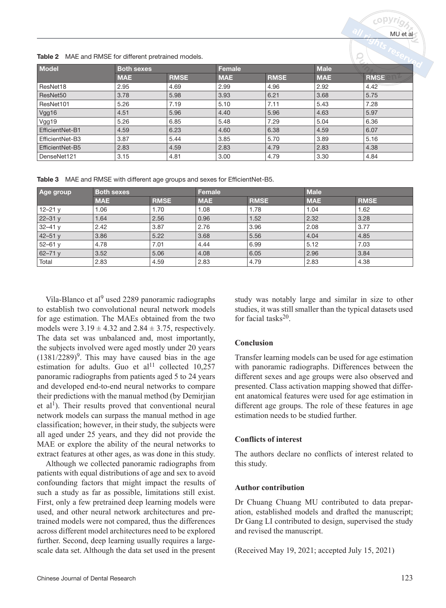|                        |                   |             |            |             |             | $\sim$      |
|------------------------|-------------------|-------------|------------|-------------|-------------|-------------|
| Model                  | <b>Both sexes</b> |             | Female     |             | <b>Male</b> |             |
|                        | <b>MAE</b>        | <b>RMSE</b> | <b>MAE</b> | <b>RMSE</b> | <b>MAE</b>  | <b>RMSE</b> |
| ResNet18               | 2.95              | 4.69        | 2.99       | 4.96        | 2.92        | 4.42        |
| ResNet50               | 3.78              | 5.98        | 3.93       | 6.21        | 3.68        | 5.75        |
| ResNet101              | 5.26              | 7.19        | 5.10       | 7.11        | 5.43        | 7.28        |
| Vgg16                  | 4.51              | 5.96        | 4.40       | 5.96        | 4.63        | 5.97        |
| Vgg19                  | 5.26              | 6.85        | 5.48       | 7.29        | 5.04        | 6.36        |
| <b>EfficientNet-B1</b> | 4.59              | 6.23        | 4.60       | 6.38        | 4.59        | 6.07        |
| EfficientNet-B3        | 3.87              | 5.44        | 3.85       | 5.70        | 3.89        | 5.16        |
| <b>EfficientNet-B5</b> | 2.83              | 4.59        | 2.83       | 4.79        | 2.83        | 4.38        |
| DenseNet121            | 3.15              | 4.81        | 3.00       | 4.79        | 3.30        | 4.84        |
|                        |                   |             |            |             |             |             |

Table 2 MAE and RMSE for different pretrained models.

Table 3 MAE and RMSE with different age groups and sexes for EfficientNet-B5.

| Age group    | <b>Both sexes</b> |             | Female     |             | <b>Male</b> |             |
|--------------|-------------------|-------------|------------|-------------|-------------|-------------|
|              | <b>MAE</b>        | <b>RMSE</b> | <b>MAE</b> | <b>RMSE</b> | <b>MAE</b>  | <b>RMSE</b> |
| $12 - 21y$   | 1.06              | 1.70        | 1.08       | 1.78        | 1.04        | 1.62        |
| $22 - 31y$   | 1.64              | 2.56        | 0.96       | 1.52        | 2.32        | 3.28        |
| $32 - 41y$   | 2.42              | 3.87        | 2.76       | 3.96        | 2.08        | 3.77        |
| $ 42 - 51y$  | 3.86              | 5.22        | 3.68       | 5.56        | 4.04        | 4.85        |
| $52 - 61y$   | 4.78              | 7.01        | 4.44       | 6.99        | 5.12        | 7.03        |
| $ 62 - 71y $ | 3.52              | 5.06        | 4.08       | 6.05        | 2.96        | 3.84        |
| Total        | 2.83              | 4.59        | 2.83       | 4.79        | 2.83        | 4.38        |

Vila-Blanco et al<sup>9</sup> used 2289 panoramic radiographs to establish two convolutional neural network models for age estimation. The MAEs obtained from the two models were  $3.19 \pm 4.32$  and  $2.84 \pm 3.75$ , respectively. The data set was unbalanced and, most importantly, the subjects involved were aged mostly under 20 years  $(1381/2289)^9$ . This may have caused bias in the age estimation for adults. Guo et al<sup>11</sup> collected  $10,257$ panoramic radiographs from patients aged 5 to 24 years and developed end-to-end neural networks to compare their predictions with the manual method (by Demirjian et al<sup>1</sup>). Their results proved that conventional neural network models can surpass the manual method in age classification; however, in their study, the subjects were all aged under 25 years, and they did not provide the MAE or explore the ability of the neural networks to extract features at other ages, as was done in this study.

Although we collected panoramic radiographs from patients with equal distributions of age and sex to avoid confounding factors that might impact the results of such a study as far as possible, limitations still exist. First, only a few pretrained deep learning models were used, and other neural network architectures and pretrained models were not compared, thus the differences across different model architectures need to be explored further. Second, deep learning usually requires a largescale data set. Although the data set used in the present study was notably large and similar in size to other studies, it was still smaller than the typical datasets used for facial tasks20.

# **Conclusion**

Transfer learning models can be used for age estimation with panoramic radiographs. Differences between the different sexes and age groups were also observed and presented. Class activation mapping showed that different anatomical features were used for age estimation in different age groups. The role of these features in age estimation needs to be studied further.

# **Conflicts of interest**

The authors declare no conflicts of interest related to this study.

## **Author contribution**

Dr Chuang Chuang MU contributed to data preparation, established models and drafted the manuscript; Dr Gang LI contributed to design, supervised the study and revised the manuscript.

(Received May 19, 2021; accepted July 15, 2021)